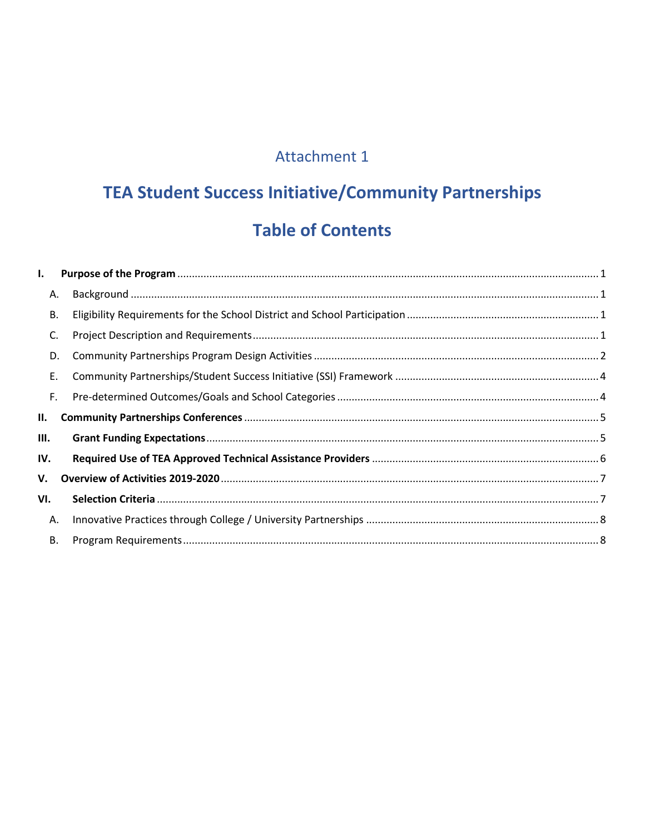### Attachment 1

# **TEA Student Success Initiative/Community Partnerships Table of Contents**

| I.        |  |  |
|-----------|--|--|
| А.        |  |  |
| В.        |  |  |
| C.        |  |  |
| D.        |  |  |
| Ε.        |  |  |
| F.        |  |  |
| II.       |  |  |
| Ш.        |  |  |
| IV.       |  |  |
| V.        |  |  |
| VI.       |  |  |
| Α.        |  |  |
| <b>B.</b> |  |  |
|           |  |  |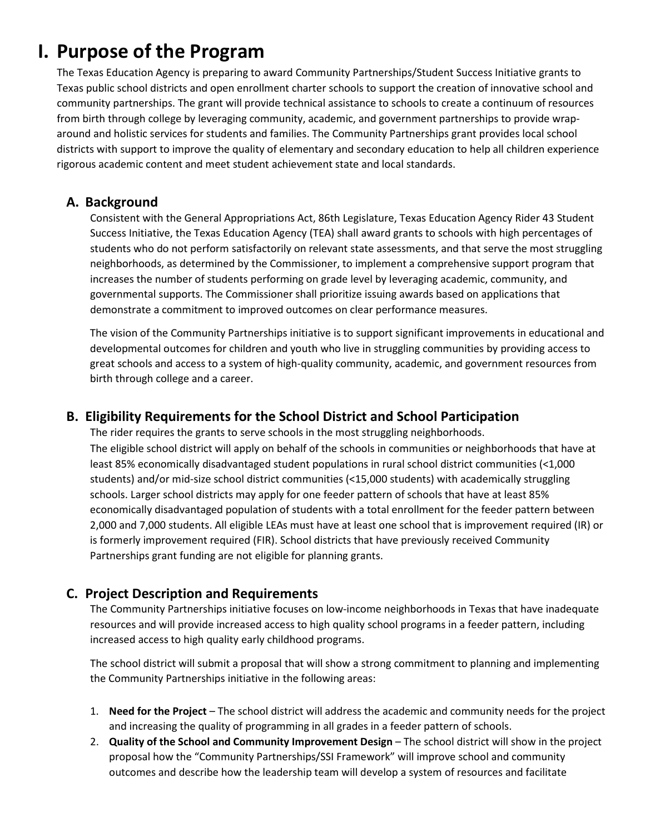## <span id="page-1-0"></span>**I. Purpose of the Program**

 community partnerships. The grant will provide technical assistance to schools to create a continuum of resources from birth through college by leveraging community, academic, and government partnerships to provide wrap- rigorous academic content and meet student achievement state and local standards. The Texas Education Agency is preparing to award Community Partnerships/Student Success Initiative grants to Texas public school districts and open enrollment charter schools to support the creation of innovative school and around and holistic services for students and families. The Community Partnerships grant provides local school districts with support to improve the quality of elementary and secondary education to help all children experience

#### <span id="page-1-1"></span>**A. Background**

 governmental supports. The Commissioner shall prioritize issuing awards based on applications that Consistent with the General Appropriations Act, 86th Legislature, Texas Education Agency Rider 43 Student Success Initiative, the Texas Education Agency (TEA) shall award grants to schools with high percentages of students who do not perform satisfactorily on relevant state assessments, and that serve the most struggling neighborhoods, as determined by the Commissioner, to implement a comprehensive support program that increases the number of students performing on grade level by leveraging academic, community, and demonstrate a commitment to improved outcomes on clear performance measures.

 The vision of the Community Partnerships initiative is to support significant improvements in educational and developmental outcomes for children and youth who live in struggling communities by providing access to great schools and access to a system of high-quality community, academic, and government resources from birth through college and a career.

#### <span id="page-1-2"></span>**B. Eligibility Requirements for the School District and School Participation**

 The eligible school district will apply on behalf of the schools in communities or neighborhoods that have at economically disadvantaged population of students with a total enrollment for the feeder pattern between 2,000 and 7,000 students. All eligible LEAs must have at least one school that is improvement required (IR) or Partnerships grant funding are not eligible for planning grants. The rider requires the grants to serve schools in the most struggling neighborhoods. least 85% economically disadvantaged student populations in rural school district communities (<1,000 students) and/or mid-size school district communities (<15,000 students) with academically struggling schools. Larger school districts may apply for one feeder pattern of schools that have at least 85% is formerly improvement required (FIR). School districts that have previously received Community

#### <span id="page-1-3"></span>**C. Project Description and Requirements**

The Community Partnerships initiative focuses on low-income neighborhoods in Texas that have inadequate resources and will provide increased access to high quality school programs in a feeder pattern, including increased access to high quality early childhood programs.

 The school district will submit a proposal that will show a strong commitment to planning and implementing the Community Partnerships initiative in the following areas:

- 1. **Need for the Project**  The school district will address the academic and community needs for the project and increasing the quality of programming in all grades in a feeder pattern of schools.
- 2. **Quality of the School and Community Improvement Design**  The school district will show in the project outcomes and describe how the leadership team will develop a system of resources and facilitate proposal how the "Community Partnerships/SSI Framework" will improve school and community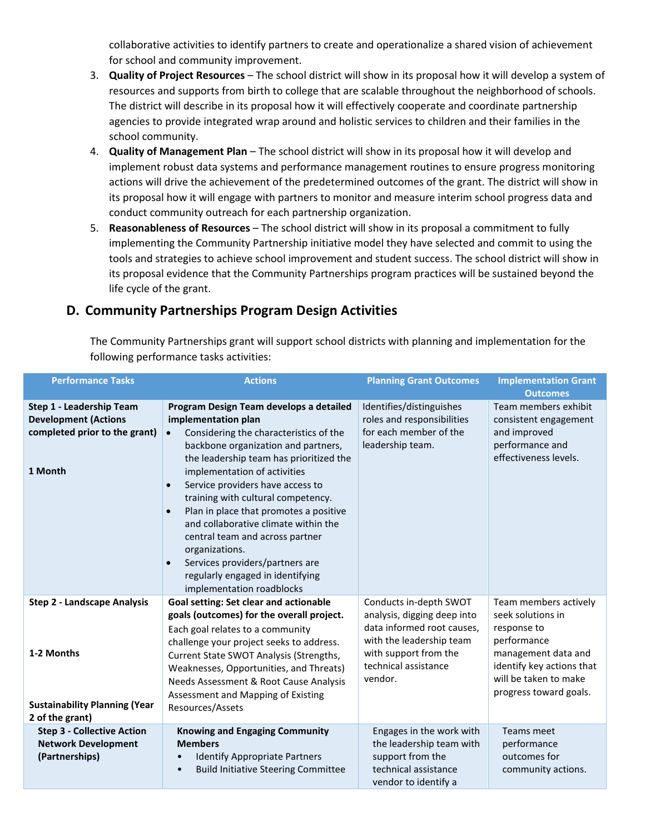for school and community improvement. collaborative activities to identify partners to create and operationalize a shared vision of achievement

- for school and community improvement. 3. **Quality of Project Resources**  The school district will show in its proposal how it will develop a system of resources and supports from birth to college that are scalable throughout the neighborhood of schools. The district will describe in its proposal how it will effectively cooperate and coordinate partnership agencies to provide integrated wrap around and holistic services to children and their families in the school community.
- 4. **Quality of Management Plan**  The school district will show in its proposal how it will develop and implement robust data systems and performance management routines to ensure progress monitoring actions will drive the achievement of the predetermined outcomes of the grant. The district will show in its proposal how it will engage with partners to monitor and measure interim school progress data and conduct community outreach for each partnership organization.
- 5. **Reasonableness of Resources**  The school district will show in its proposal a commitment to fully implementing the Community Partnership initiative model they have selected and commit to using the tools and strategies to achieve school improvement and student success. The school district will show in its proposal evidence that the Community Partnerships program practices will be sustained beyond the life cycle of the grant.

#### <span id="page-2-0"></span>**D. Community Partnerships Program Design Activities**

 The Community Partnerships grant will support school districts with planning and implementation for the following performance tasks activities:

| <b>Performance Tasks</b>                                                                            | <b>Actions</b>                                                                                                                                                                                                                                                                                                                                                                                                                                                                                                                                                                                      | <b>Planning Grant Outcomes</b>                                                                                                                    | <b>Implementation Grant</b>                                                                                                                            |
|-----------------------------------------------------------------------------------------------------|-----------------------------------------------------------------------------------------------------------------------------------------------------------------------------------------------------------------------------------------------------------------------------------------------------------------------------------------------------------------------------------------------------------------------------------------------------------------------------------------------------------------------------------------------------------------------------------------------------|---------------------------------------------------------------------------------------------------------------------------------------------------|--------------------------------------------------------------------------------------------------------------------------------------------------------|
|                                                                                                     |                                                                                                                                                                                                                                                                                                                                                                                                                                                                                                                                                                                                     |                                                                                                                                                   | <b>Outcomes</b>                                                                                                                                        |
| Step 1 - Leadership Team<br><b>Development (Actions</b><br>completed prior to the grant)<br>1 Month | Program Design Team develops a detailed<br>implementation plan<br>Considering the characteristics of the<br>$\bullet$<br>backbone organization and partners,<br>the leadership team has prioritized the<br>implementation of activities<br>Service providers have access to<br>$\bullet$<br>training with cultural competency.<br>Plan in place that promotes a positive<br>$\bullet$<br>and collaborative climate within the<br>central team and across partner<br>organizations.<br>Services providers/partners are<br>$\bullet$<br>regularly engaged in identifying<br>implementation roadblocks | Identifies/distinguishes<br>roles and responsibilities<br>for each member of the<br>leadership team.                                              | Team members exhibit<br>consistent engagement<br>and improved<br>performance and<br>effectiveness levels.                                              |
| <b>Step 2 - Landscape Analysis</b>                                                                  | Goal setting: Set clear and actionable                                                                                                                                                                                                                                                                                                                                                                                                                                                                                                                                                              | Conducts in-depth SWOT                                                                                                                            | Team members actively                                                                                                                                  |
| 1-2 Months<br><b>Sustainability Planning (Year</b><br>2 of the grant)                               | goals (outcomes) for the overall project.<br>Each goal relates to a community<br>challenge your project seeks to address.<br>Current State SWOT Analysis (Strengths,<br>Weaknesses, Opportunities, and Threats)<br>Needs Assessment & Root Cause Analysis<br>Assessment and Mapping of Existing<br>Resources/Assets                                                                                                                                                                                                                                                                                 | analysis, digging deep into<br>data informed root causes,<br>with the leadership team<br>with support from the<br>technical assistance<br>vendor. | seek solutions in<br>response to<br>performance<br>management data and<br>identify key actions that<br>will be taken to make<br>progress toward goals. |
| <b>Step 3 - Collective Action</b><br><b>Network Development</b><br>(Partnerships)                   | <b>Knowing and Engaging Community</b><br><b>Members</b><br><b>Identify Appropriate Partners</b><br><b>Build Initiative Steering Committee</b>                                                                                                                                                                                                                                                                                                                                                                                                                                                       | Engages in the work with<br>the leadership team with<br>support from the<br>technical assistance<br>vendor to identify a                          | <b>Teams meet</b><br>performance<br>outcomes for<br>community actions.                                                                                 |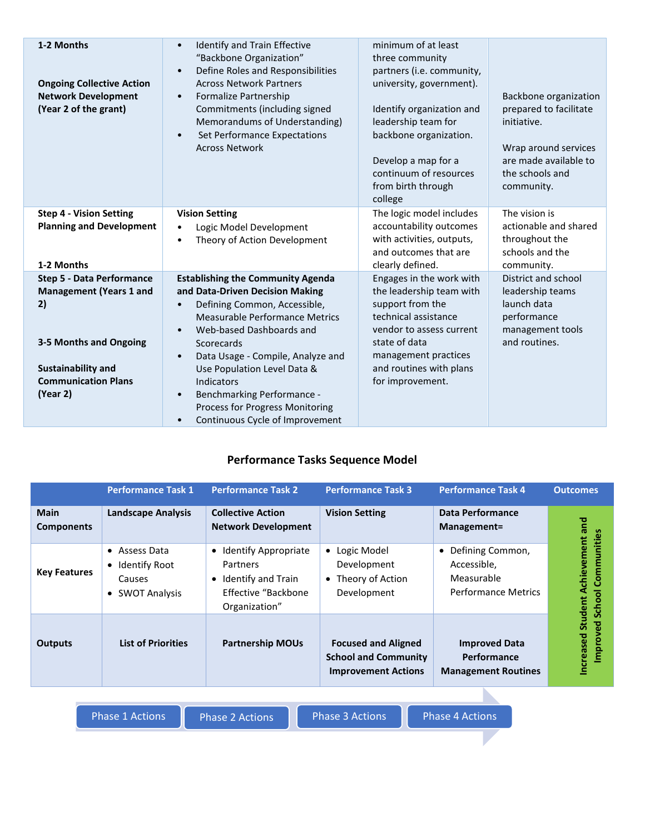| 1-2 Months<br><b>Ongoing Collective Action</b><br><b>Network Development</b><br>(Year 2 of the grant)                                                                     | Identify and Train Effective<br>$\bullet$<br>"Backbone Organization"<br>Define Roles and Responsibilities<br>$\bullet$<br><b>Across Network Partners</b><br>Formalize Partnership<br>$\bullet$<br>Commitments (including signed<br>Memorandums of Understanding)<br>Set Performance Expectations<br>$\bullet$<br><b>Across Network</b>                                                                                                         | minimum of at least<br>three community<br>partners (i.e. community,<br>university, government).<br>Identify organization and<br>leadership team for<br>backbone organization.<br>Develop a map for a<br>continuum of resources<br>from birth through<br>college | Backbone organization<br>prepared to facilitate<br>initiative.<br>Wrap around services<br>are made available to<br>the schools and<br>community. |
|---------------------------------------------------------------------------------------------------------------------------------------------------------------------------|------------------------------------------------------------------------------------------------------------------------------------------------------------------------------------------------------------------------------------------------------------------------------------------------------------------------------------------------------------------------------------------------------------------------------------------------|-----------------------------------------------------------------------------------------------------------------------------------------------------------------------------------------------------------------------------------------------------------------|--------------------------------------------------------------------------------------------------------------------------------------------------|
| <b>Step 4 - Vision Setting</b><br><b>Planning and Development</b><br>1-2 Months                                                                                           | <b>Vision Setting</b><br>Logic Model Development<br>$\bullet$<br>Theory of Action Development<br>$\bullet$                                                                                                                                                                                                                                                                                                                                     | The logic model includes<br>accountability outcomes<br>with activities, outputs,<br>and outcomes that are<br>clearly defined.                                                                                                                                   | The vision is<br>actionable and shared<br>throughout the<br>schools and the<br>community.                                                        |
| <b>Step 5 - Data Performance</b><br><b>Management (Years 1 and</b><br>2)<br>3-5 Months and Ongoing<br><b>Sustainability and</b><br><b>Communication Plans</b><br>(Year 2) | <b>Establishing the Community Agenda</b><br>and Data-Driven Decision Making<br>Defining Common, Accessible,<br>$\bullet$<br>Measurable Performance Metrics<br>Web-based Dashboards and<br>$\bullet$<br>Scorecards<br>Data Usage - Compile, Analyze and<br>$\bullet$<br>Use Population Level Data &<br>Indicators<br>Benchmarking Performance -<br>$\bullet$<br>Process for Progress Monitoring<br>Continuous Cycle of Improvement<br>$\bullet$ | Engages in the work with<br>the leadership team with<br>support from the<br>technical assistance<br>vendor to assess current<br>state of data<br>management practices<br>and routines with plans<br>for improvement.                                            | District and school<br>leadership teams<br>launch data<br>performance<br>management tools<br>and routines.                                       |

#### **Performance Tasks Sequence Model**

|                                  | <b>Performance Task 1</b>                                                                             | <b>Performance Task 2</b>                                                                                                 | <b>Performance Task 3</b>                                                               | <b>Performance Task 4</b>                                                     | <b>Outcomes</b>                                     |
|----------------------------------|-------------------------------------------------------------------------------------------------------|---------------------------------------------------------------------------------------------------------------------------|-----------------------------------------------------------------------------------------|-------------------------------------------------------------------------------|-----------------------------------------------------|
| <b>Main</b><br><b>Components</b> | <b>Landscape Analysis</b>                                                                             | <b>Collective Action</b><br><b>Network Development</b>                                                                    | <b>Vision Setting</b>                                                                   | Data Performance<br>Management=                                               |                                                     |
| <b>Key Features</b>              | Assess Data<br>$\bullet$<br>Identify Root<br>$\bullet$<br>Causes<br><b>SWOT Analysis</b><br>$\bullet$ | Identify Appropriate<br>$\bullet$<br>Partners<br>Identify and Train<br>$\bullet$<br>Effective "Backbone"<br>Organization" | Logic Model<br>$\bullet$<br>Development<br>• Theory of Action<br>Development            | • Defining Common,<br>Accessible,<br>Measurable<br><b>Performance Metrics</b> | Achievement and<br>Communities<br>School<br>Student |
| <b>Outputs</b>                   | <b>List of Priorities</b>                                                                             | <b>Partnership MOUs</b>                                                                                                   | <b>Focused and Aligned</b><br><b>School and Community</b><br><b>Improvement Actions</b> | <b>Improved Data</b><br>Performance<br><b>Management Routines</b>             | ್ಠಾ<br>Improve<br><b>Increased</b>                  |

| <b>Phase 1 Actions</b> |  |  |
|------------------------|--|--|
|                        |  |  |

Phase 2 Actions **Phase 3 Actions** Phase 4 Actions

N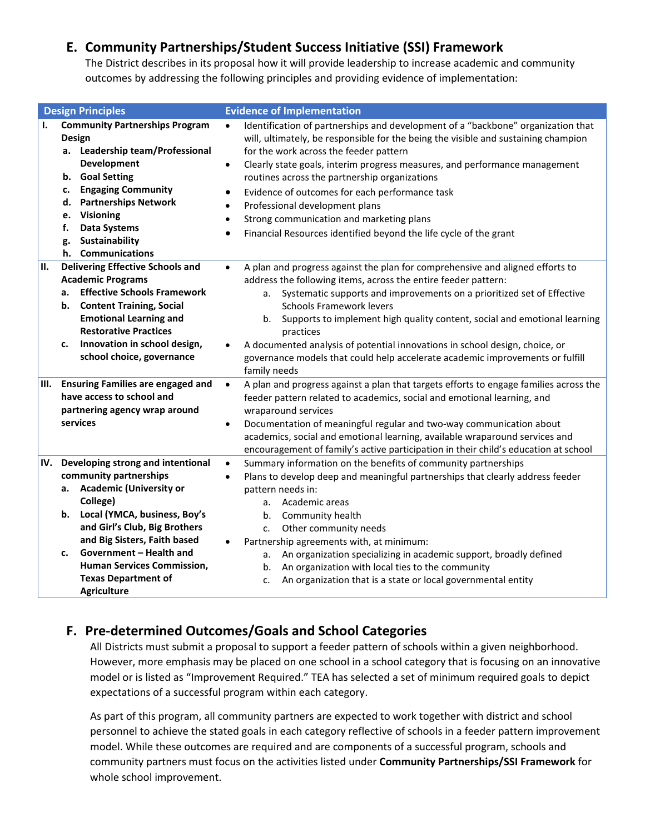#### <span id="page-4-0"></span>**E. Community Partnerships/Student Success Initiative (SSI) Framework**

The District describes in its proposal how it will provide leadership to increase academic and community outcomes by addressing the following principles and providing evidence of implementation:

|                                                  | <b>Design Principles</b>                                                                                                                                                                                                                                                                                                       | <b>Evidence of Implementation</b> |                                                                                                                                                                                                                                                                                                                                                                                                                                                                                                                                                      |  |  |  |
|--------------------------------------------------|--------------------------------------------------------------------------------------------------------------------------------------------------------------------------------------------------------------------------------------------------------------------------------------------------------------------------------|-----------------------------------|------------------------------------------------------------------------------------------------------------------------------------------------------------------------------------------------------------------------------------------------------------------------------------------------------------------------------------------------------------------------------------------------------------------------------------------------------------------------------------------------------------------------------------------------------|--|--|--|
| I.<br>Design<br>b.<br>c.<br>d.<br>e.<br>f.<br>g. | <b>Community Partnerships Program</b><br>a. Leadership team/Professional<br>Development<br><b>Goal Setting</b><br><b>Engaging Community</b><br><b>Partnerships Network</b><br><b>Visioning</b><br><b>Data Systems</b><br>Sustainability<br>h. Communications                                                                   | $\bullet$                         | Identification of partnerships and development of a "backbone" organization that<br>will, ultimately, be responsible for the being the visible and sustaining champion<br>for the work across the feeder pattern<br>Clearly state goals, interim progress measures, and performance management<br>routines across the partnership organizations<br>Evidence of outcomes for each performance task<br>Professional development plans<br>Strong communication and marketing plans<br>Financial Resources identified beyond the life cycle of the grant |  |  |  |
| II.<br>а.<br>b.<br>c.                            | <b>Delivering Effective Schools and</b><br><b>Academic Programs</b><br><b>Effective Schools Framework</b><br><b>Content Training, Social</b><br><b>Emotional Learning and</b><br><b>Restorative Practices</b><br>Innovation in school design,<br>school choice, governance                                                     | $\bullet$<br>family needs         | A plan and progress against the plan for comprehensive and aligned efforts to<br>address the following items, across the entire feeder pattern:<br>a. Systematic supports and improvements on a prioritized set of Effective<br><b>Schools Framework levers</b><br>Supports to implement high quality content, social and emotional learning<br>b.<br>practices<br>A documented analysis of potential innovations in school design, choice, or<br>governance models that could help accelerate academic improvements or fulfill                      |  |  |  |
| III.<br>services                                 | <b>Ensuring Families are engaged and</b><br>have access to school and<br>partnering agency wrap around                                                                                                                                                                                                                         | $\bullet$<br>$\bullet$            | A plan and progress against a plan that targets efforts to engage families across the<br>feeder pattern related to academics, social and emotional learning, and<br>wraparound services<br>Documentation of meaningful regular and two-way communication about<br>academics, social and emotional learning, available wraparound services and<br>encouragement of family's active participation in their child's education at school                                                                                                                 |  |  |  |
| IV.<br>а.<br>b.<br>c.                            | Developing strong and intentional<br>community partnerships<br><b>Academic (University or</b><br>College)<br>Local (YMCA, business, Boy's<br>and Girl's Club, Big Brothers<br>and Big Sisters, Faith based<br>Government - Health and<br><b>Human Services Commission,</b><br><b>Texas Department of</b><br><b>Agriculture</b> | $\bullet$<br>$\bullet$            | Summary information on the benefits of community partnerships<br>Plans to develop deep and meaningful partnerships that clearly address feeder<br>pattern needs in:<br>Academic areas<br>а.<br>Community health<br>b.<br>Other community needs<br>c.<br>Partnership agreements with, at minimum:<br>An organization specializing in academic support, broadly defined<br>а.<br>An organization with local ties to the community<br>b.<br>An organization that is a state or local governmental entity<br>c.                                          |  |  |  |

#### <span id="page-4-1"></span>**F. Pre-determined Outcomes/Goals and School Categories**

 However, more emphasis may be placed on one school in a school category that is focusing on an innovative model or is listed as "Improvement Required." TEA has selected a set of minimum required goals to depict All Districts must submit a proposal to support a feeder pattern of schools within a given neighborhood. expectations of a successful program within each category.

 As part of this program, all community partners are expected to work together with district and school personnel to achieve the stated goals in each category reflective of schools in a feeder pattern improvement whole school improvement. model. While these outcomes are required and are components of a successful program, schools and community partners must focus on the activities listed under **Community Partnerships/SSI Framework** for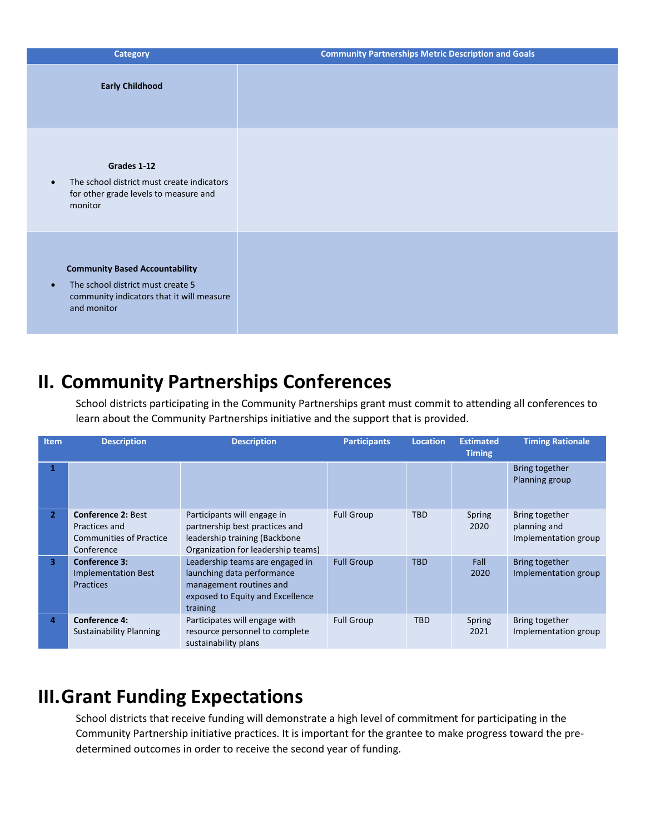| <b>Category</b>                                                                                                                                     | <b>Community Partnerships Metric Description and Goals</b> |
|-----------------------------------------------------------------------------------------------------------------------------------------------------|------------------------------------------------------------|
| <b>Early Childhood</b>                                                                                                                              |                                                            |
| Grades 1-12<br>The school district must create indicators<br>$\bullet$<br>for other grade levels to measure and<br>monitor                          |                                                            |
| <b>Community Based Accountability</b><br>The school district must create 5<br>$\bullet$<br>community indicators that it will measure<br>and monitor |                                                            |

### <span id="page-5-0"></span>**II. Community Partnerships Conferences**

School districts participating in the Community Partnerships grant must commit to attending all conferences to learn about the Community Partnerships initiative and the support that is provided.

|                | learn about the Community Partnerships initiative and the support that is provided.        |                                                                                                                                          |                     |                 |                                   |                                                        |  |
|----------------|--------------------------------------------------------------------------------------------|------------------------------------------------------------------------------------------------------------------------------------------|---------------------|-----------------|-----------------------------------|--------------------------------------------------------|--|
| <b>Item</b>    | <b>Description</b>                                                                         | <b>Description</b>                                                                                                                       | <b>Participants</b> | <b>Location</b> | <b>Estimated</b><br><b>Timing</b> | <b>Timing Rationale</b>                                |  |
|                |                                                                                            |                                                                                                                                          |                     |                 |                                   | Bring together<br>Planning group                       |  |
| $\overline{2}$ | <b>Conference 2: Best</b><br>Practices and<br><b>Communities of Practice</b><br>Conference | Participants will engage in<br>partnership best practices and<br>leadership training (Backbone<br>Organization for leadership teams)     | <b>Full Group</b>   | <b>TBD</b>      | Spring<br>2020                    | Bring together<br>planning and<br>Implementation group |  |
| 3.             | <b>Conference 3:</b><br><b>Implementation Best</b><br><b>Practices</b>                     | Leadership teams are engaged in<br>launching data performance<br>management routines and<br>exposed to Equity and Excellence<br>training | <b>Full Group</b>   | <b>TBD</b>      | Fall<br>2020                      | Bring together<br>Implementation group                 |  |
| 4              | <b>Conference 4:</b><br><b>Sustainability Planning</b>                                     | Participates will engage with<br>resource personnel to complete<br>sustainability plans                                                  | <b>Full Group</b>   | <b>TBD</b>      | Spring<br>2021                    | Bring together<br>Implementation group                 |  |

## <span id="page-5-1"></span> **III.Grant Funding Expectations**

School districts that receive funding will demonstrate a high level of commitment for participating in the Community Partnership initiative practices. It is important for the grantee to make progress toward the predetermined outcomes in order to receive the second year of funding.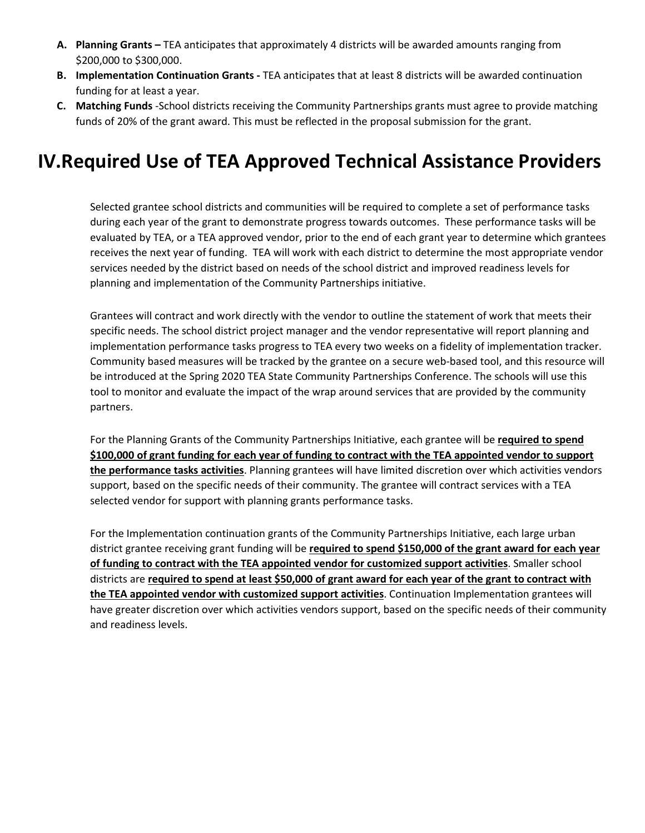- **A. Planning Grants** TEA anticipates that approximately 4 districts will be awarded amounts ranging from \$200,000 to \$300,000.
- **B. Implementation Continuation Grants -** TEA anticipates that at least 8 districts will be awarded continuation funding for at least a year.
- **C. Matching Funds** -School districts receiving the Community Partnerships grants must agree to provide matching funds of 20% of the grant award. This must be reflected in the proposal submission for the grant.

### <span id="page-6-0"></span> **IV.Required Use of TEA Approved Technical Assistance Providers**

 Selected grantee school districts and communities will be required to complete a set of performance tasks during each year of the grant to demonstrate progress towards outcomes. These performance tasks will be evaluated by TEA, or a TEA approved vendor, prior to the end of each grant year to determine which grantees receives the next year of funding. TEA will work with each district to determine the most appropriate vendor services needed by the district based on needs of the school district and improved readiness levels for planning and implementation of the Community Partnerships initiative.

 implementation performance tasks progress to TEA every two weeks on a fidelity of implementation tracker. be introduced at the Spring 2020 TEA State Community Partnerships Conference. The schools will use this tool to monitor and evaluate the impact of the wrap around services that are provided by the community Grantees will contract and work directly with the vendor to outline the statement of work that meets their specific needs. The school district project manager and the vendor representative will report planning and Community based measures will be tracked by the grantee on a secure web-based tool, and this resource will partners.

 For the Planning Grants of the Community Partnerships Initiative, each grantee will be **required to spend**  support, based on the specific needs of their community. The grantee will contract services with a TEA selected vendor for support with planning grants performance tasks. **\$100,000 of grant funding for each year of funding to contract with the TEA appointed vendor to support the performance tasks activities**. Planning grantees will have limited discretion over which activities vendors

 For the Implementation continuation grants of the Community Partnerships Initiative, each large urban have greater discretion over which activities vendors support, based on the specific needs of their community district grantee receiving grant funding will be **required to spend \$150,000 of the grant award for each year of funding to contract with the TEA appointed vendor for customized support activities**. Smaller school districts are **required to spend at least \$50,000 of grant award for each year of the grant to contract with the TEA appointed vendor with customized support activities**. Continuation Implementation grantees will and readiness levels.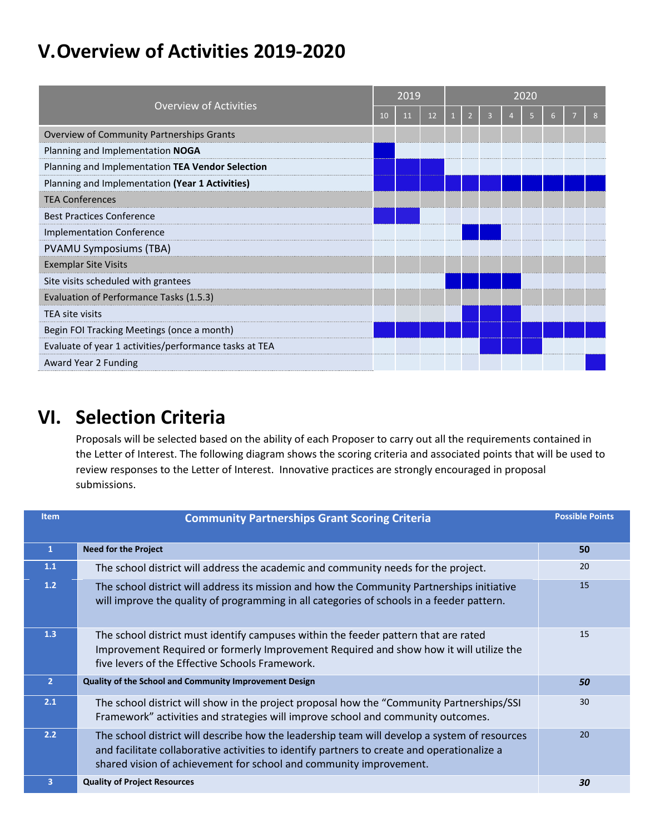## <span id="page-7-0"></span>**V.Overview of Activities 2019-2020**

| <b>Overview of Activities</b>                          |  | 2019 |    |  | 2020 |  |  |  |  |  |  |
|--------------------------------------------------------|--|------|----|--|------|--|--|--|--|--|--|
|                                                        |  | 11   | 12 |  |      |  |  |  |  |  |  |
| Overview of Community Partnerships Grants              |  |      |    |  |      |  |  |  |  |  |  |
| Planning and Implementation NOGA                       |  |      |    |  |      |  |  |  |  |  |  |
| Planning and Implementation TEA Vendor Selection       |  |      |    |  |      |  |  |  |  |  |  |
| Planning and Implementation (Year 1 Activities)        |  |      |    |  |      |  |  |  |  |  |  |
| <b>TEA Conferences</b>                                 |  |      |    |  |      |  |  |  |  |  |  |
| <b>Best Practices Conference</b>                       |  |      |    |  |      |  |  |  |  |  |  |
| <b>Implementation Conference</b>                       |  |      |    |  |      |  |  |  |  |  |  |
| <b>PVAMU Symposiums (TBA)</b>                          |  |      |    |  |      |  |  |  |  |  |  |
| <b>Exemplar Site Visits</b>                            |  |      |    |  |      |  |  |  |  |  |  |
| Site visits scheduled with grantees                    |  |      |    |  |      |  |  |  |  |  |  |
| Evaluation of Performance Tasks (1.5.3)                |  |      |    |  |      |  |  |  |  |  |  |
| TEA site visits                                        |  |      |    |  |      |  |  |  |  |  |  |
| Begin FOI Tracking Meetings (once a month)             |  |      |    |  |      |  |  |  |  |  |  |
| Evaluate of year 1 activities/performance tasks at TEA |  |      |    |  |      |  |  |  |  |  |  |
| Award Year 2 Funding                                   |  |      |    |  |      |  |  |  |  |  |  |

### <span id="page-7-1"></span>**VI. Selection Criteria**

 Proposals will be selected based on the ability of each Proposer to carry out all the requirements contained in the Letter of Interest. The following diagram shows the scoring criteria and associated points that will be used to review responses to the Letter of Interest. Innovative practices are strongly encouraged in proposal submissions.

| <b>Item</b>    | <b>Community Partnerships Grant Scoring Criteria</b>                                                                                                                                                                                                              | <b>Possible Points</b> |
|----------------|-------------------------------------------------------------------------------------------------------------------------------------------------------------------------------------------------------------------------------------------------------------------|------------------------|
| $\mathbf{1}$   | <b>Need for the Project</b>                                                                                                                                                                                                                                       | 50                     |
| 1.1            | The school district will address the academic and community needs for the project.                                                                                                                                                                                | 20                     |
| 1.2            | The school district will address its mission and how the Community Partnerships initiative<br>will improve the quality of programming in all categories of schools in a feeder pattern.                                                                           | 15                     |
| 1.3            | The school district must identify campuses within the feeder pattern that are rated<br>Improvement Required or formerly Improvement Required and show how it will utilize the<br>five levers of the Effective Schools Framework.                                  | 15                     |
| $\overline{2}$ | Quality of the School and Community Improvement Design                                                                                                                                                                                                            | 50                     |
| 2.1            | The school district will show in the project proposal how the "Community Partnerships/SSI<br>Framework" activities and strategies will improve school and community outcomes.                                                                                     | 30                     |
| 2.2            | The school district will describe how the leadership team will develop a system of resources<br>and facilitate collaborative activities to identify partners to create and operationalize a<br>shared vision of achievement for school and community improvement. | 20                     |
| 3              | <b>Quality of Project Resources</b>                                                                                                                                                                                                                               | 30                     |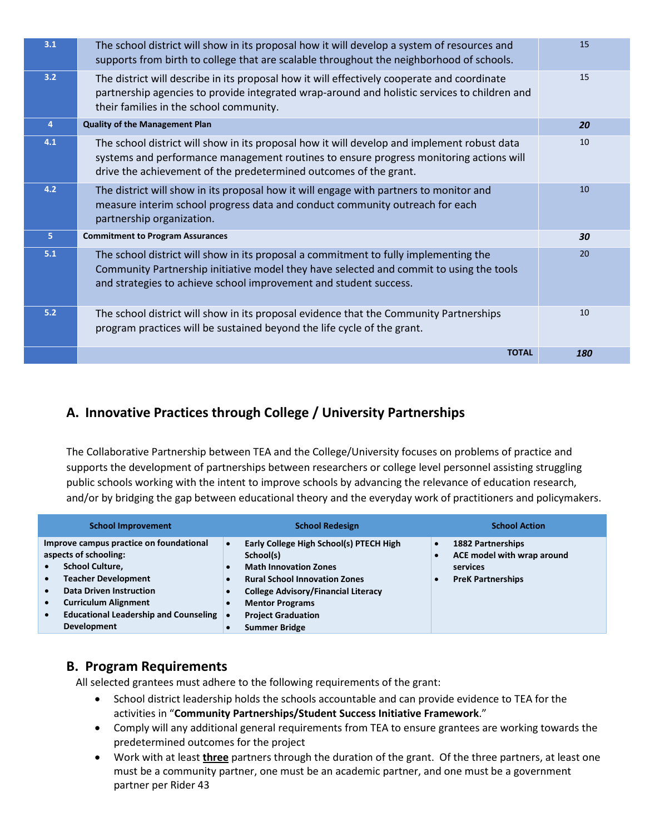| 3.1            | The school district will show in its proposal how it will develop a system of resources and<br>supports from birth to college that are scalable throughout the neighborhood of schools.                                                                    | 15  |
|----------------|------------------------------------------------------------------------------------------------------------------------------------------------------------------------------------------------------------------------------------------------------------|-----|
| 3.2            | The district will describe in its proposal how it will effectively cooperate and coordinate<br>partnership agencies to provide integrated wrap-around and holistic services to children and<br>their families in the school community.                     | 15  |
| $\overline{4}$ | <b>Quality of the Management Plan</b>                                                                                                                                                                                                                      | 20  |
| 4.1            | The school district will show in its proposal how it will develop and implement robust data<br>systems and performance management routines to ensure progress monitoring actions will<br>drive the achievement of the predetermined outcomes of the grant. | 10  |
| 4.2            | The district will show in its proposal how it will engage with partners to monitor and<br>measure interim school progress data and conduct community outreach for each<br>partnership organization.                                                        | 10  |
| 5              | <b>Commitment to Program Assurances</b>                                                                                                                                                                                                                    | 30  |
| 5.1            | The school district will show in its proposal a commitment to fully implementing the<br>Community Partnership initiative model they have selected and commit to using the tools<br>and strategies to achieve school improvement and student success.       | 20  |
| 5.2            | The school district will show in its proposal evidence that the Community Partnerships<br>program practices will be sustained beyond the life cycle of the grant.                                                                                          | 10  |
|                | <b>TOTAL</b>                                                                                                                                                                                                                                               | 180 |

#### <span id="page-8-0"></span>**A. Innovative Practices through College / University Partnerships**

 and/or by bridging the gap between educational theory and the everyday work of practitioners and policymakers. The Collaborative Partnership between TEA and the College/University focuses on problems of practice and supports the development of partnerships between researchers or college level personnel assisting struggling public schools working with the intent to improve schools by advancing the relevance of education research,

| <b>School Improvement</b>                                                                                                                                                                                                                                                                                           | <b>School Redesign</b>                                                                                                                                                                                                                                    | <b>School Action</b>                                                                                                                  |
|---------------------------------------------------------------------------------------------------------------------------------------------------------------------------------------------------------------------------------------------------------------------------------------------------------------------|-----------------------------------------------------------------------------------------------------------------------------------------------------------------------------------------------------------------------------------------------------------|---------------------------------------------------------------------------------------------------------------------------------------|
| Improve campus practice on foundational<br>aspects of schooling:<br><b>School Culture,</b><br><b>Teacher Development</b><br>$\bullet$<br><b>Data Driven Instruction</b><br>$\bullet$<br><b>Curriculum Alignment</b><br>$\bullet$<br><b>Educational Leadership and Counseling</b><br>$\bullet$<br><b>Development</b> | Early College High School(s) PTECH High<br>School(s)<br><b>Math Innovation Zones</b><br><b>Rural School Innovation Zones</b><br><b>College Advisory/Financial Literacy</b><br><b>Mentor Programs</b><br><b>Project Graduation</b><br><b>Summer Bridge</b> | <b>1882 Partnerships</b><br>$\bullet$<br>ACE model with wrap around<br>$\bullet$<br>services<br><b>PreK Partnerships</b><br>$\bullet$ |

#### <span id="page-8-1"></span>**B. Program Requirements**

All selected grantees must adhere to the following requirements of the grant:

- School district leadership holds the schools accountable and can provide evidence to TEA for the activities in "**Community Partnerships/Student Success Initiative Framework**."
- Comply will any additional general requirements from TEA to ensure grantees are working towards the predetermined outcomes for the project
- • Work with at least **three** partners through the duration of the grant. Of the three partners, at least one must be a community partner, one must be an academic partner, and one must be a government partner per Rider 43